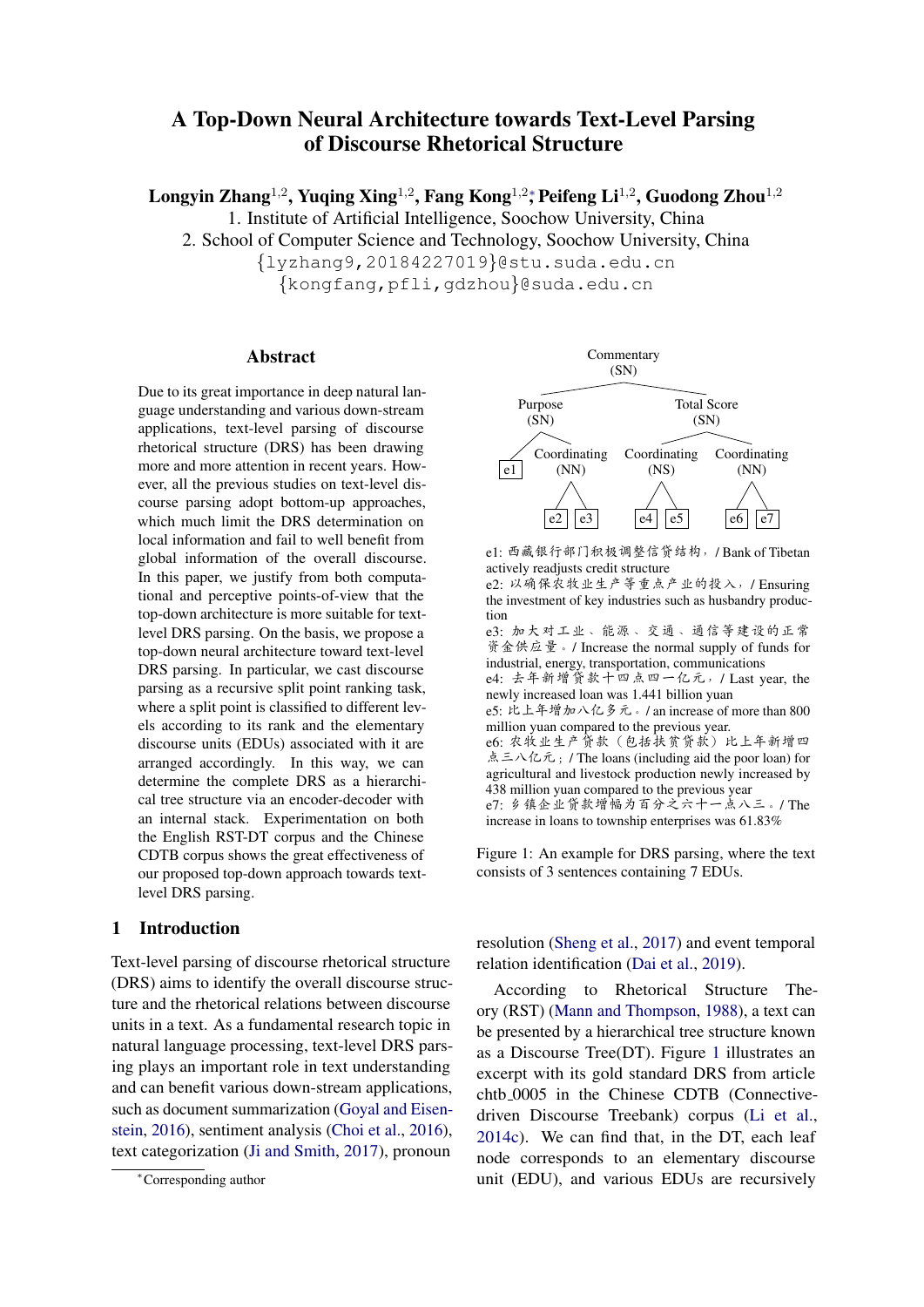# A Top-Down Neural Architecture towards Text-Level Parsing of Discourse Rhetorical Structure

Longyin Zhang $^{1,2}$ , Yuqing Xing $^{1,2}$ , Fang Kong $^{1,2}$ , Peifeng Li $^{1,2}$ , Guodong Zhou $^{1,2}$ 1. Institute of Artificial Intelligence, Soochow University, China

2. School of Computer Science and Technology, Soochow University, China

{lyzhang9,20184227019}@stu.suda.edu.cn

{kongfang,pfli,gdzhou}@suda.edu.cn

### Abstract

Due to its great importance in deep natural language understanding and various down-stream applications, text-level parsing of discourse rhetorical structure (DRS) has been drawing more and more attention in recent years. However, all the previous studies on text-level discourse parsing adopt bottom-up approaches, which much limit the DRS determination on local information and fail to well benefit from global information of the overall discourse. In this paper, we justify from both computational and perceptive points-of-view that the top-down architecture is more suitable for textlevel DRS parsing. On the basis, we propose a top-down neural architecture toward text-level DRS parsing. In particular, we cast discourse parsing as a recursive split point ranking task, where a split point is classified to different levels according to its rank and the elementary discourse units (EDUs) associated with it are arranged accordingly. In this way, we can determine the complete DRS as a hierarchical tree structure via an encoder-decoder with an internal stack. Experimentation on both the English RST-DT corpus and the Chinese CDTB corpus shows the great effectiveness of our proposed top-down approach towards textlevel DRS parsing.

# 1 Introduction

Text-level parsing of discourse rhetorical structure (DRS) aims to identify the overall discourse structure and the rhetorical relations between discourse units in a text. As a fundamental research topic in natural language processing, text-level DRS parsing plays an important role in text understanding and can benefit various down-stream applications, such as document summarization [\(Goyal and Eisen](#page-8-0)[stein,](#page-8-0) [2016\)](#page-8-0), sentiment analysis [\(Choi et al.,](#page-8-1) [2016\)](#page-8-1), text categorization [\(Ji and Smith,](#page-8-2) [2017\)](#page-8-2), pronoun

<span id="page-0-0"></span>

e1: <sup>西</sup>藏银行部门积极调整信贷结构,/ Bank of Tibetan actively readjusts credit structure

e2: <sup>以</sup>确保农牧业生产等重点产业的投入,/ Ensuring the investment of key industries such as husbandry production

e3: <sup>加</sup>大对工业、能源、交通、通信等建设的正<sup>常</sup> 资金供应量。/ Increase the normal supply of funds for industrial, energy, transportation, communications

e4: <sup>去</sup>年新增贷款十四点四一亿元,/ Last year, the newly increased loan was 1.441 billion yuan

- e5: 比上年增加八亿多元。/ an increase of more than 800 million yuan compared to the previous year. e6: <sup>农</sup>牧业生产贷款(包括扶贫贷款)比上年新增<sup>四</sup> 点三八亿元; / The loans (including aid the poor loan) for
- agricultural and livestock production newly increased by 438 million yuan compared to the previous year

e7: <sup>乡</sup>镇企业贷款增幅为百分之六十一点八三。/ The increase in loans to township enterprises was 61.83%

Figure 1: An example for DRS parsing, where the text consists of 3 sentences containing 7 EDUs.

resolution [\(Sheng et al.,](#page-9-0) [2017\)](#page-9-0) and event temporal relation identification [\(Dai et al.,](#page-8-3) [2019\)](#page-8-3).

According to Rhetorical Structure Theory (RST) [\(Mann and Thompson,](#page-9-1) [1988\)](#page-9-1), a text can be presented by a hierarchical tree structure known as a Discourse Tree(DT). Figure [1](#page-0-0) illustrates an excerpt with its gold standard DRS from article chtb 0005 in the Chinese CDTB (Connectivedriven Discourse Treebank) corpus [\(Li et al.,](#page-8-4) [2014c\)](#page-8-4). We can find that, in the DT, each leaf node corresponds to an elementary discourse unit (EDU), and various EDUs are recursively

<sup>∗</sup>Corresponding author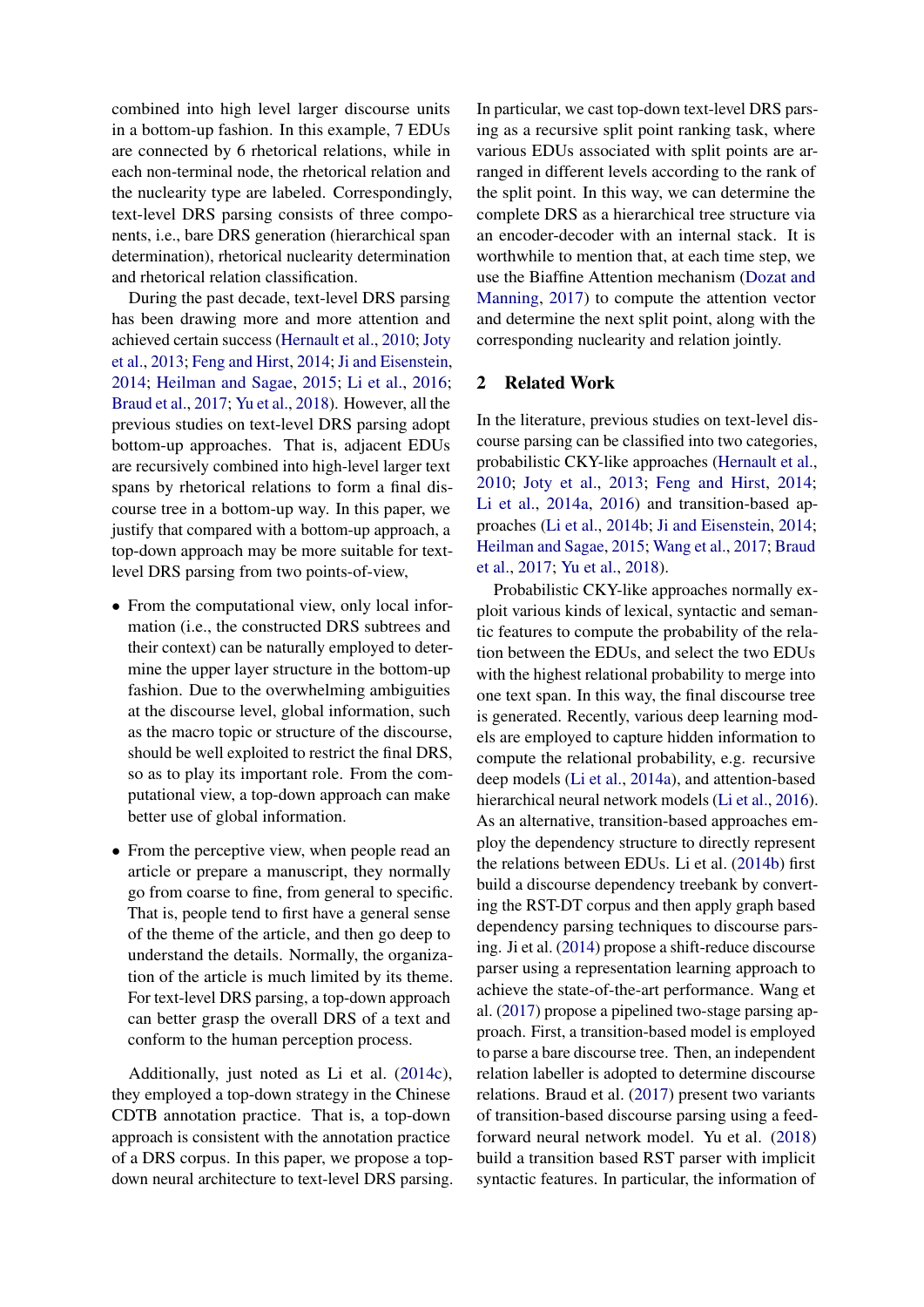combined into high level larger discourse units in a bottom-up fashion. In this example, 7 EDUs are connected by 6 rhetorical relations, while in each non-terminal node, the rhetorical relation and the nuclearity type are labeled. Correspondingly, text-level DRS parsing consists of three components, i.e., bare DRS generation (hierarchical span determination), rhetorical nuclearity determination and rhetorical relation classification.

During the past decade, text-level DRS parsing has been drawing more and more attention and achieved certain success [\(Hernault et al.,](#page-8-5) [2010;](#page-8-5) [Joty](#page-8-6) [et al.,](#page-8-6) [2013;](#page-8-6) [Feng and Hirst,](#page-8-7) [2014;](#page-8-7) [Ji and Eisenstein,](#page-8-8) [2014;](#page-8-8) [Heilman and Sagae,](#page-8-9) [2015;](#page-8-9) [Li et al.,](#page-8-10) [2016;](#page-8-10) [Braud et al.,](#page-8-11) [2017;](#page-8-11) [Yu et al.,](#page-9-2) [2018\)](#page-9-2). However, all the previous studies on text-level DRS parsing adopt bottom-up approaches. That is, adjacent EDUs are recursively combined into high-level larger text spans by rhetorical relations to form a final discourse tree in a bottom-up way. In this paper, we justify that compared with a bottom-up approach, a top-down approach may be more suitable for textlevel DRS parsing from two points-of-view,

- From the computational view, only local information (i.e., the constructed DRS subtrees and their context) can be naturally employed to determine the upper layer structure in the bottom-up fashion. Due to the overwhelming ambiguities at the discourse level, global information, such as the macro topic or structure of the discourse, should be well exploited to restrict the final DRS, so as to play its important role. From the computational view, a top-down approach can make better use of global information.
- From the perceptive view, when people read an article or prepare a manuscript, they normally go from coarse to fine, from general to specific. That is, people tend to first have a general sense of the theme of the article, and then go deep to understand the details. Normally, the organization of the article is much limited by its theme. For text-level DRS parsing, a top-down approach can better grasp the overall DRS of a text and conform to the human perception process.

Additionally, just noted as Li et al. [\(2014c\)](#page-8-4), they employed a top-down strategy in the Chinese CDTB annotation practice. That is, a top-down approach is consistent with the annotation practice of a DRS corpus. In this paper, we propose a topdown neural architecture to text-level DRS parsing.

In particular, we cast top-down text-level DRS parsing as a recursive split point ranking task, where various EDUs associated with split points are arranged in different levels according to the rank of the split point. In this way, we can determine the complete DRS as a hierarchical tree structure via an encoder-decoder with an internal stack. It is worthwhile to mention that, at each time step, we use the Biaffine Attention mechanism [\(Dozat and](#page-8-12) [Manning,](#page-8-12) [2017\)](#page-8-12) to compute the attention vector and determine the next split point, along with the corresponding nuclearity and relation jointly.

# 2 Related Work

In the literature, previous studies on text-level discourse parsing can be classified into two categories, probabilistic CKY-like approaches [\(Hernault et al.,](#page-8-5) [2010;](#page-8-5) [Joty et al.,](#page-8-6) [2013;](#page-8-6) [Feng and Hirst,](#page-8-7) [2014;](#page-8-7) [Li et al.,](#page-8-13) [2014a,](#page-8-13) [2016\)](#page-8-10) and transition-based approaches [\(Li et al.,](#page-8-14) [2014b;](#page-8-14) [Ji and Eisenstein,](#page-8-8) [2014;](#page-8-8) [Heilman and Sagae,](#page-8-9) [2015;](#page-8-9) [Wang et al.,](#page-9-3) [2017;](#page-9-3) [Braud](#page-8-11) [et al.,](#page-8-11) [2017;](#page-8-11) [Yu et al.,](#page-9-2) [2018\)](#page-9-2).

Probabilistic CKY-like approaches normally exploit various kinds of lexical, syntactic and semantic features to compute the probability of the relation between the EDUs, and select the two EDUs with the highest relational probability to merge into one text span. In this way, the final discourse tree is generated. Recently, various deep learning models are employed to capture hidden information to compute the relational probability, e.g. recursive deep models [\(Li et al.,](#page-8-13) [2014a\)](#page-8-13), and attention-based hierarchical neural network models [\(Li et al.,](#page-8-10) [2016\)](#page-8-10). As an alternative, transition-based approaches employ the dependency structure to directly represent the relations between EDUs. Li et al. [\(2014b\)](#page-8-14) first build a discourse dependency treebank by converting the RST-DT corpus and then apply graph based dependency parsing techniques to discourse parsing. Ji et al. [\(2014\)](#page-8-8) propose a shift-reduce discourse parser using a representation learning approach to achieve the state-of-the-art performance. Wang et al. [\(2017\)](#page-9-3) propose a pipelined two-stage parsing approach. First, a transition-based model is employed to parse a bare discourse tree. Then, an independent relation labeller is adopted to determine discourse relations. Braud et al. [\(2017\)](#page-8-11) present two variants of transition-based discourse parsing using a feedforward neural network model. Yu et al. [\(2018\)](#page-9-2) build a transition based RST parser with implicit syntactic features. In particular, the information of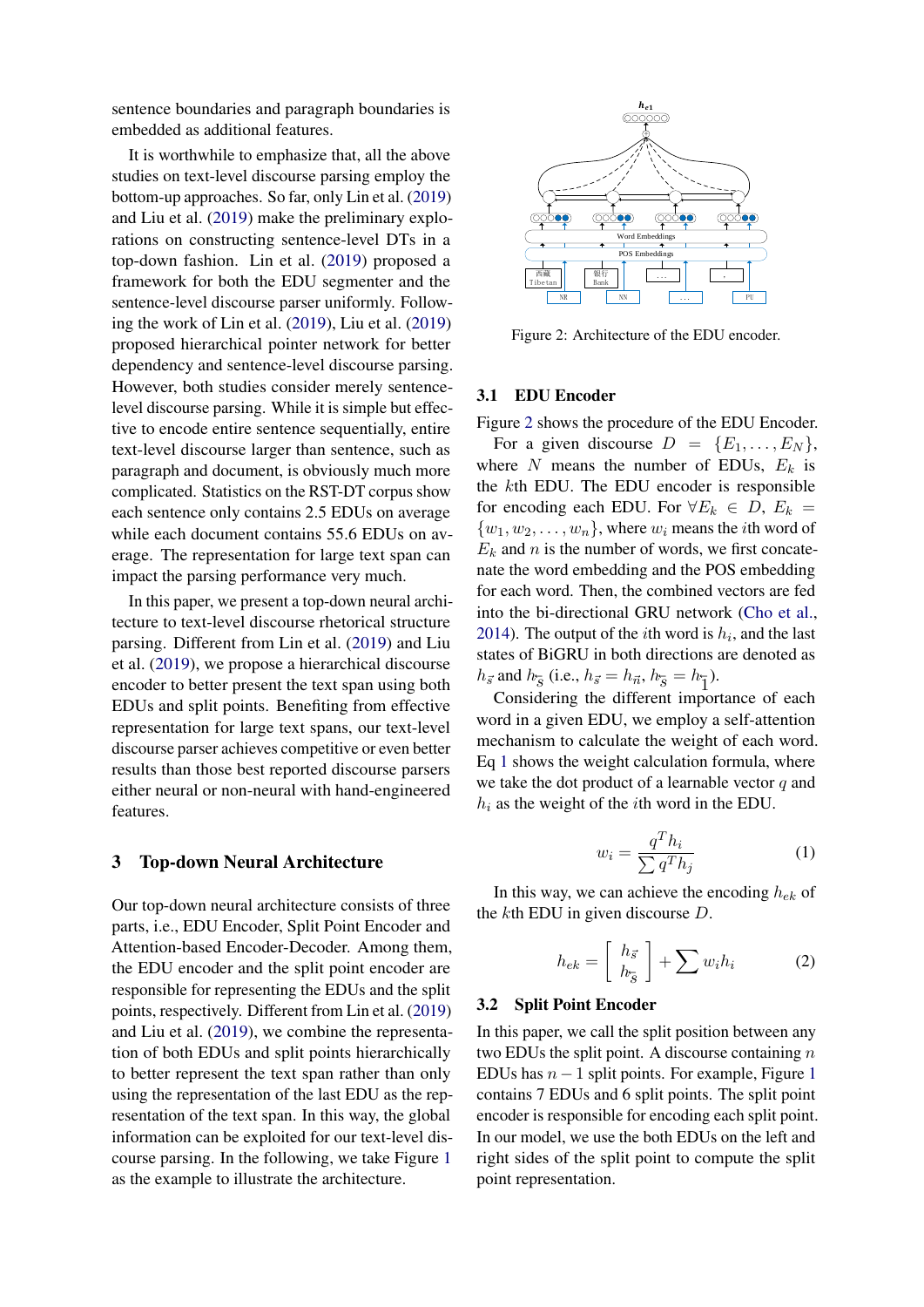sentence boundaries and paragraph boundaries is embedded as additional features.

It is worthwhile to emphasize that, all the above studies on text-level discourse parsing employ the bottom-up approaches. So far, only Lin et al. [\(2019\)](#page-9-4) and Liu et al. [\(2019\)](#page-9-5) make the preliminary explorations on constructing sentence-level DTs in a top-down fashion. Lin et al. [\(2019\)](#page-9-4) proposed a framework for both the EDU segmenter and the sentence-level discourse parser uniformly. Following the work of Lin et al. [\(2019\)](#page-9-4), Liu et al. [\(2019\)](#page-9-5) proposed hierarchical pointer network for better dependency and sentence-level discourse parsing. However, both studies consider merely sentencelevel discourse parsing. While it is simple but effective to encode entire sentence sequentially, entire text-level discourse larger than sentence, such as paragraph and document, is obviously much more complicated. Statistics on the RST-DT corpus show each sentence only contains 2.5 EDUs on average while each document contains 55.6 EDUs on average. The representation for large text span can impact the parsing performance very much.

In this paper, we present a top-down neural architecture to text-level discourse rhetorical structure parsing. Different from Lin et al. [\(2019\)](#page-9-4) and Liu et al. [\(2019\)](#page-9-5), we propose a hierarchical discourse encoder to better present the text span using both EDUs and split points. Benefiting from effective representation for large text spans, our text-level discourse parser achieves competitive or even better results than those best reported discourse parsers either neural or non-neural with hand-engineered features.

#### 3 Top-down Neural Architecture

Our top-down neural architecture consists of three parts, i.e., EDU Encoder, Split Point Encoder and Attention-based Encoder-Decoder. Among them, the EDU encoder and the split point encoder are responsible for representing the EDUs and the split points, respectively. Different from Lin et al. [\(2019\)](#page-9-4) and Liu et al. [\(2019\)](#page-9-5), we combine the representation of both EDUs and split points hierarchically to better represent the text span rather than only using the representation of the last EDU as the representation of the text span. In this way, the global information can be exploited for our text-level discourse parsing. In the following, we take Figure [1](#page-0-0) as the example to illustrate the architecture.

<span id="page-2-0"></span>

Figure 2: Architecture of the EDU encoder.

#### 3.1 EDU Encoder

Figure [2](#page-2-0) shows the procedure of the EDU Encoder.

For a given discourse  $D = \{E_1, \ldots, E_N\},\$ where N means the number of EDUs,  $E_k$  is the kth EDU. The EDU encoder is responsible for encoding each EDU. For  $\forall E_k \in D, E_k =$  $\{w_1, w_2, \ldots, w_n\}$ , where  $w_i$  means the *i*th word of  $E_k$  and n is the number of words, we first concatenate the word embedding and the POS embedding for each word. Then, the combined vectors are fed into the bi-directional GRU network [\(Cho et al.,](#page-8-15) [2014\)](#page-8-15). The output of the *i*th word is  $h_i$ , and the last states of BiGRU in both directions are denoted as  $h_{\vec{s}}$  and  $h_{\vec{s}}$  (i.e.,  $h_{\vec{s}} = h_{\vec{n}}$ ,  $h_{\vec{s}} = h_{\vec{1}}$ ).

Considering the different importance of each word in a given EDU, we employ a self-attention mechanism to calculate the weight of each word. Eq [1](#page-2-1) shows the weight calculation formula, where we take the dot product of a learnable vector  $q$  and  $h_i$  as the weight of the *i*th word in the EDU.

$$
w_i = \frac{q^T h_i}{\sum q^T h_j} \tag{1}
$$

<span id="page-2-1"></span>In this way, we can achieve the encoding  $h_{ek}$  of the kth EDU in given discourse D.

$$
h_{ek} = \left[\begin{array}{c} h_{\vec{s}} \\ h_{\vec{s}} \end{array}\right] + \sum w_i h_i \tag{2}
$$

#### 3.2 Split Point Encoder

In this paper, we call the split position between any two EDUs the split point. A discourse containing  $n$ EDUs has  $n-1$  $n-1$  split points. For example, Figure 1 contains 7 EDUs and 6 split points. The split point encoder is responsible for encoding each split point. In our model, we use the both EDUs on the left and right sides of the split point to compute the split point representation.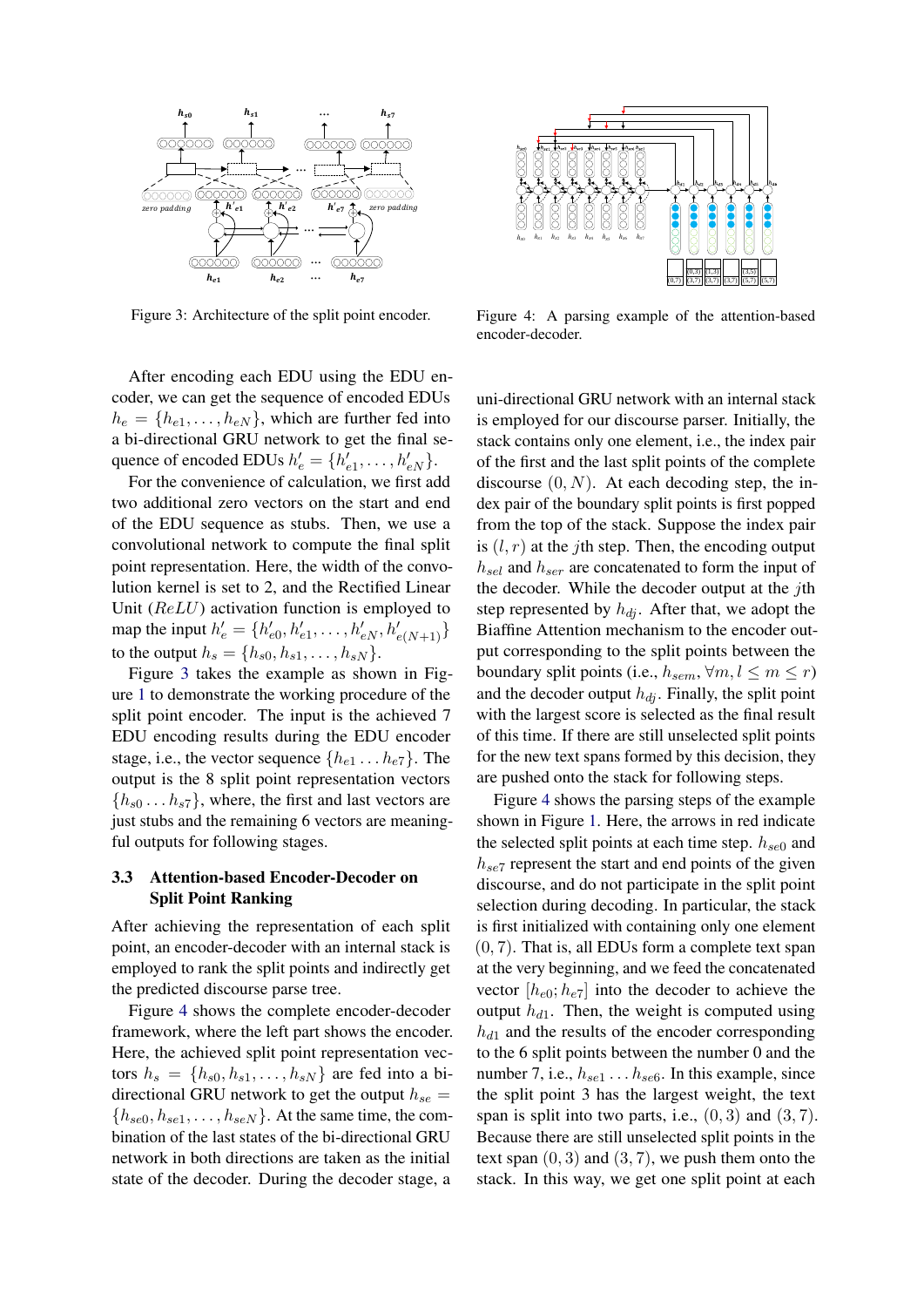<span id="page-3-0"></span>

Figure 3: Architecture of the split point encoder.

After encoding each EDU using the EDU encoder, we can get the sequence of encoded EDUs  $h_e = \{h_{e1}, \ldots, h_{eN}\},$  which are further fed into  $\alpha_e = \{i_e, \ldots, i_{eN}\}\,$ , when the radiate red model a bi-directional GRU network to get the final sequence of encoded EDUs  $h'_e = \{h'_{e1}, \ldots, h'_{eN}\}.$  $\frac{1}{2}$  the EDU sequence as  $\frac{1}{2}$  sequence as sequence as sequence as  $\frac{1}{2}$ 

For the convenience of calculation, we first add two additional zero vectors on the start and end of the EDU sequence as stubs. Then, we use a convolutional network to compute the final split point representation. Here, the width of the convolution kernel is set to 2, and the Rectified Linear Unit  $(ReLU)$  activation function is employed to map the input  $h'_e = \{h'_{e0}, h'_{e1}, \dots, h'_{eN}, h'_{e(N+1)}\}$ to the output  $h_s = \{h_{s0}, h_{s1}, \ldots, h_{sN}\}.$ 

Figure [3](#page-3-0) takes the example as shown in Fig-If the 8 split the stample as shown in Figure [1](#page-0-0) to demonstrate the working procedure of the split point encoder. The input is the achieved 7 EDU encoding results during the EDU encoder stage, i.e., the vector sequence  $\{h_{e1} \dots h_{e7}\}\.$  The output is the 8 split point representation vectors  $\{h_{s0} \dots h_{s7}\}\$ , where, the first and last vectors are just stubs and the remaining 6 vectors are meaningful outputs for following stages.  $\frac{1}{100}$  studies and the remaining  $\frac{1}{100}$  vectors are meaning-

# 3.3 Attention-based Encoder-Decoder on Split Point Ranking  $\frac{1}{2}$  the predicted discourse parameters  $\frac{1}{2}$

After achieving the representation of each split point, an encoder-decoder with an internal stack is employed to rank the split points and indirectly get the predicted discourse parse tree.

Figure [4](#page-3-1) shows the complete encoder-decoder framework, where the left part shows the encoder. Here, the achieved split point representation vectors  $h_s = \{h_{s0}, h_{s1}, \ldots, h_{sN}\}\$  are fed into a bidirectional GRU network to get the output  $h_{se} =$  ${h_{se0}, h_{se1}, \ldots, h_{seN}}$ . At the same time, the combination of the last states of the bi-directional GRU network in both directions are taken as the initial state of the decoder. During the decoder stage, a  $\frac{1}{2}$  achieved spin point representation vectors.

<span id="page-3-1"></span>

Figure 4: A parsing example of the attention-based encoder-decoder.

uni-directional GRU network with an internal stack is employed for our discourse parser. Initially, the stack contains only one element, i.e., the index pair of the first and the last split points of the complete discourse  $(0, N)$ . At each decoding step, the index pair of the boundary split points is first popped from the top of the stack. Suppose the index pair is  $(l, r)$  at the jth step. Then, the encoding output  $h_{sel}$  and  $h_{ser}$  are concatenated to form the input of the decoder. While the decoder output at the jth step represented by  $h_{di}$ . After that, we adopt the Biaffine Attention mechanism to the encoder output corresponding to the split points between the boundary split points (i.e.,  $h_{sem}$ ,  $\forall m, l \leq m \leq r$ ) and the decoder output  $h_{di}$ . Finally, the split point with the largest score is selected as the final result of this time. If there are still unselected split points for the new text spans formed by this decision, they are pushed onto the stack for following steps.

Figure [4](#page-3-1) shows the parsing steps of the example shown in Figure [1.](#page-0-0) Here, the arrows in red indicate the selected split points at each time step.  $h_{se0}$  and  $h_{se7}$  represent the start and end points of the given discourse, and do not participate in the split point selection during decoding. In particular, the stack is first initialized with containing only one element (0, 7). That is, all EDUs form a complete text span at the very beginning, and we feed the concatenated vector  $[h_{e0}; h_{e7}]$  into the decoder to achieve the output  $h_{d1}$ . Then, the weight is computed using  $h_{d1}$  and the results of the encoder corresponding to the 6 split points between the number 0 and the number 7, i.e.,  $h_{se1} \dots h_{se6}$ . In this example, since the split point 3 has the largest weight, the text span is split into two parts, i.e.,  $(0, 3)$  and  $(3, 7)$ . Because there are still unselected split points in the text span  $(0, 3)$  and  $(3, 7)$ , we push them onto the stack. In this way, we get one split point at each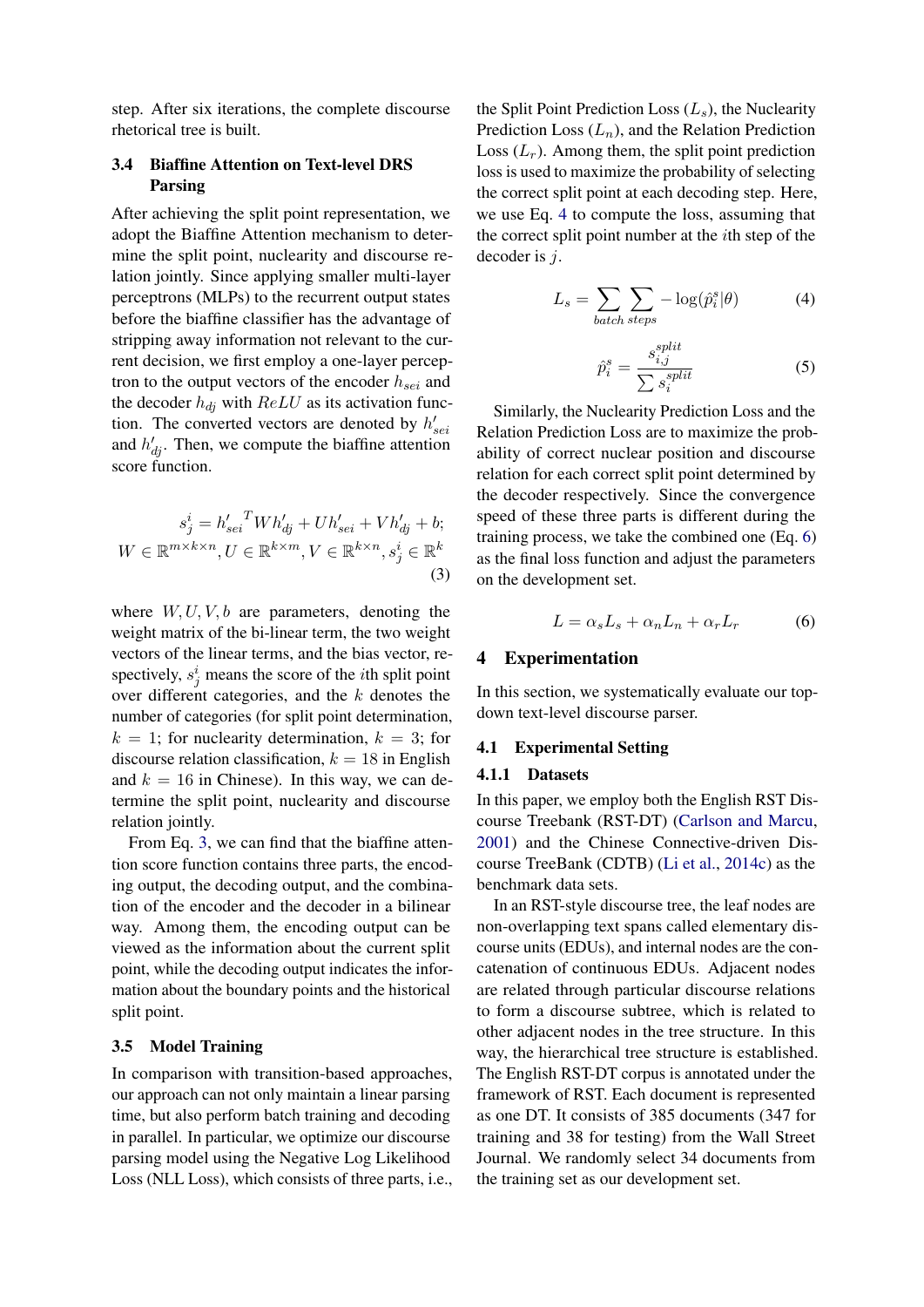step. After six iterations, the complete discourse rhetorical tree is built.

# 3.4 Biaffine Attention on Text-level DRS Parsing

After achieving the split point representation, we adopt the Biaffine Attention mechanism to determine the split point, nuclearity and discourse relation jointly. Since applying smaller multi-layer perceptrons (MLPs) to the recurrent output states before the biaffine classifier has the advantage of stripping away information not relevant to the current decision, we first employ a one-layer perceptron to the output vectors of the encoder  $h_{sei}$  and the decoder  $h_{di}$  with  $ReLU$  as its activation function. The converted vectors are denoted by  $h'_{\text{sei}}$ and  $h'_{dj}$ . Then, we compute the biaffine attention score function.

<span id="page-4-0"></span>
$$
s_j^i = h'_{sei}^T Wh'_{dj} + Uh'_{sei} + Vh'_{dj} + b;
$$
  
 
$$
W \in \mathbb{R}^{m \times k \times n}, U \in \mathbb{R}^{k \times m}, V \in \mathbb{R}^{k \times n}, s_j^i \in \mathbb{R}^k
$$
 (3)

where  $W, U, V, b$  are parameters, denoting the weight matrix of the bi-linear term, the two weight vectors of the linear terms, and the bias vector, respectively,  $s_j^i$  means the score of the *i*th split point over different categories, and the  $k$  denotes the number of categories (for split point determination,  $k = 1$ ; for nuclearity determination,  $k = 3$ ; for discourse relation classification,  $k = 18$  in English and  $k = 16$  in Chinese). In this way, we can determine the split point, nuclearity and discourse relation jointly.

From Eq. [3,](#page-4-0) we can find that the biaffine attention score function contains three parts, the encoding output, the decoding output, and the combination of the encoder and the decoder in a bilinear way. Among them, the encoding output can be viewed as the information about the current split point, while the decoding output indicates the information about the boundary points and the historical split point.

### 3.5 Model Training

In comparison with transition-based approaches, our approach can not only maintain a linear parsing time, but also perform batch training and decoding in parallel. In particular, we optimize our discourse parsing model using the Negative Log Likelihood Loss (NLL Loss), which consists of three parts, i.e., the Split Point Prediction Loss  $(L_s)$ , the Nuclearity Prediction Loss  $(L_n)$ , and the Relation Prediction Loss  $(L_r)$ . Among them, the split point prediction loss is used to maximize the probability of selecting the correct split point at each decoding step. Here, we use Eq. [4](#page-4-1) to compute the loss, assuming that the correct split point number at the ith step of the decoder is j.

<span id="page-4-1"></span>
$$
L_s = \sum_{batch\ steps} -\log(\hat{p}_i^s | \theta)
$$
 (4)

$$
\hat{p}_i^s = \frac{s_{i,j}^{split}}{\sum s_i^{split}} \tag{5}
$$

Similarly, the Nuclearity Prediction Loss and the Relation Prediction Loss are to maximize the probability of correct nuclear position and discourse relation for each correct split point determined by the decoder respectively. Since the convergence speed of these three parts is different during the training process, we take the combined one (Eq. [6\)](#page-4-2) as the final loss function and adjust the parameters on the development set.

$$
L = \alpha_s L_s + \alpha_n L_n + \alpha_r L_r \tag{6}
$$

## <span id="page-4-2"></span>4 Experimentation

In this section, we systematically evaluate our topdown text-level discourse parser.

#### 4.1 Experimental Setting

### 4.1.1 Datasets

In this paper, we employ both the English RST Discourse Treebank (RST-DT) [\(Carlson and Marcu,](#page-8-16) [2001\)](#page-8-16) and the Chinese Connective-driven Discourse TreeBank (CDTB) [\(Li et al.,](#page-8-4) [2014c\)](#page-8-4) as the benchmark data sets.

In an RST-style discourse tree, the leaf nodes are non-overlapping text spans called elementary discourse units (EDUs), and internal nodes are the concatenation of continuous EDUs. Adjacent nodes are related through particular discourse relations to form a discourse subtree, which is related to other adjacent nodes in the tree structure. In this way, the hierarchical tree structure is established. The English RST-DT corpus is annotated under the framework of RST. Each document is represented as one DT. It consists of 385 documents (347 for training and 38 for testing) from the Wall Street Journal. We randomly select 34 documents from the training set as our development set.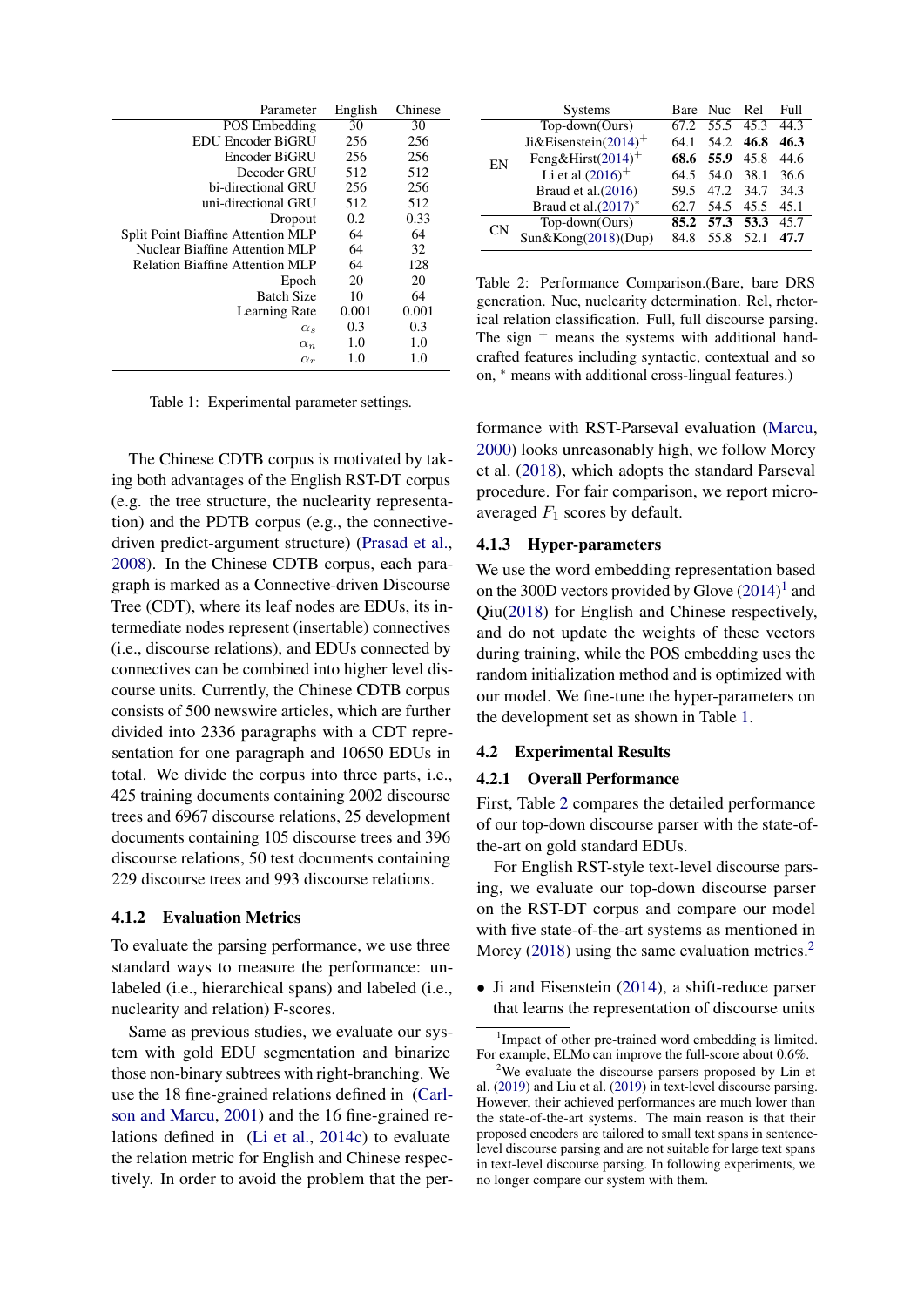<span id="page-5-1"></span>

| Parameter                                 | English | Chinese |
|-------------------------------------------|---------|---------|
| <b>POS</b> Embedding                      | 30      | 30      |
| EDU Encoder BiGRU                         | 256     | 256     |
| Encoder BiGRU                             | 256     | 256     |
| Decoder GRU                               | 512     | 512     |
| bi-directional GRU                        | 256     | 256     |
| uni-directional GRU                       | 512     | 512     |
| Dropout                                   | 0.2     | 0.33    |
| <b>Split Point Biaffine Attention MLP</b> | 64      | 64      |
| Nuclear Biaffine Attention MLP            | 64      | 32      |
| <b>Relation Biaffine Attention MLP</b>    | 64      | 128     |
| Epoch                                     | 20      | 20      |
| <b>Batch Size</b>                         | 10      | 64      |
| Learning Rate                             | 0.001   | 0.001   |
| $\alpha_s$                                | 0.3     | 0.3     |
| $\alpha_n$                                | 1.0     | 1.0     |
| $\alpha_r$                                | 1.0     | 1.0     |

Table 1: Experimental parameter settings.

The Chinese CDTB corpus is motivated by taking both advantages of the English RST-DT corpus (e.g. the tree structure, the nuclearity representation) and the PDTB corpus (e.g., the connectivedriven predict-argument structure) [\(Prasad et al.,](#page-9-6) [2008\)](#page-9-6). In the Chinese CDTB corpus, each paragraph is marked as a Connective-driven Discourse Tree (CDT), where its leaf nodes are EDUs, its intermediate nodes represent (insertable) connectives (i.e., discourse relations), and EDUs connected by connectives can be combined into higher level discourse units. Currently, the Chinese CDTB corpus consists of 500 newswire articles, which are further divided into 2336 paragraphs with a CDT representation for one paragraph and 10650 EDUs in total. We divide the corpus into three parts, i.e., 425 training documents containing 2002 discourse trees and 6967 discourse relations, 25 development documents containing 105 discourse trees and 396 discourse relations, 50 test documents containing 229 discourse trees and 993 discourse relations.

#### 4.1.2 Evaluation Metrics

To evaluate the parsing performance, we use three standard ways to measure the performance: unlabeled (i.e., hierarchical spans) and labeled (i.e., nuclearity and relation) F-scores.

Same as previous studies, we evaluate our system with gold EDU segmentation and binarize those non-binary subtrees with right-branching. We use the 18 fine-grained relations defined in [\(Carl](#page-8-16)[son and Marcu,](#page-8-16) [2001\)](#page-8-16) and the 16 fine-grained relations defined in [\(Li et al.,](#page-8-4) [2014c\)](#page-8-4) to evaluate the relation metric for English and Chinese respectively. In order to avoid the problem that the per-

<span id="page-5-2"></span>

|    | <b>Systems</b>                   |      | Bare Nuc  | - Rel | Full |
|----|----------------------------------|------|-----------|-------|------|
|    | Top-down(Ours)                   | 67.2 | 55.5 45.3 |       | 44.3 |
| EN | Ji&Eisenstein(2014) <sup>+</sup> | 64.1 | 54.2      | 46.8  | 46.3 |
|    | Feng&Hirst $(2014)^+$            | 68.6 | 55.9      | 45.8  | 44.6 |
|    | Li et al. $(2016)^+$             | 64.5 | 54.0      | 38.1  | 36.6 |
|    | Braud et al.(2016)               | 59.5 | 47.2      | 34.7  | 34.3 |
|    | Braud et al. $(2017)^*$          | 62.7 | 54.5      | 45.5  | 45.1 |
| CΝ | Top-down(Ours)                   |      | 85.2 57.3 | 53.3  | 45.7 |
|    | Sun&Kong(2018)(Dup)              | 84.8 | 55.8      | 52.1  | 47.7 |

Table 2: Performance Comparison.(Bare, bare DRS generation. Nuc, nuclearity determination. Rel, rhetorical relation classification. Full, full discourse parsing. The sign  $+$  means the systems with additional handcrafted features including syntactic, contextual and so on,  $*$  means with additional cross-lingual features.)

formance with RST-Parseval evaluation [\(Marcu,](#page-9-8) [2000\)](#page-9-8) looks unreasonably high, we follow Morey et al. [\(2018\)](#page-9-9), which adopts the standard Parseval procedure. For fair comparison, we report microaveraged  $F_1$  scores by default.

#### 4.1.3 Hyper-parameters

We use the word embedding representation based on the 300D vectors provided by Glove  $(2014)^1$  $(2014)^1$  $(2014)^1$  and Qiu[\(2018\)](#page-9-11) for English and Chinese respectively, and do not update the weights of these vectors during training, while the POS embedding uses the random initialization method and is optimized with our model. We fine-tune the hyper-parameters on the development set as shown in Table [1.](#page-5-1)

#### 4.2 Experimental Results

#### 4.2.1 Overall Performance

First, Table [2](#page-5-2) compares the detailed performance of our top-down discourse parser with the state-ofthe-art on gold standard EDUs.

For English RST-style text-level discourse parsing, we evaluate our top-down discourse parser on the RST-DT corpus and compare our model with five state-of-the-art systems as mentioned in Morey [\(2018\)](#page-9-9) using the same evaluation metrics.<sup>[2](#page-5-3)</sup>

• Ji and Eisenstein [\(2014\)](#page-8-8), a shift-reduce parser that learns the representation of discourse units

<span id="page-5-0"></span><sup>&</sup>lt;sup>1</sup>Impact of other pre-trained word embedding is limited. For example, ELMo can improve the full-score about 0.6%.

<span id="page-5-3"></span><sup>2</sup>We evaluate the discourse parsers proposed by Lin et al. [\(2019\)](#page-9-4) and Liu et al. [\(2019\)](#page-9-5) in text-level discourse parsing. However, their achieved performances are much lower than the state-of-the-art systems. The main reason is that their proposed encoders are tailored to small text spans in sentencelevel discourse parsing and are not suitable for large text spans in text-level discourse parsing. In following experiments, we no longer compare our system with them.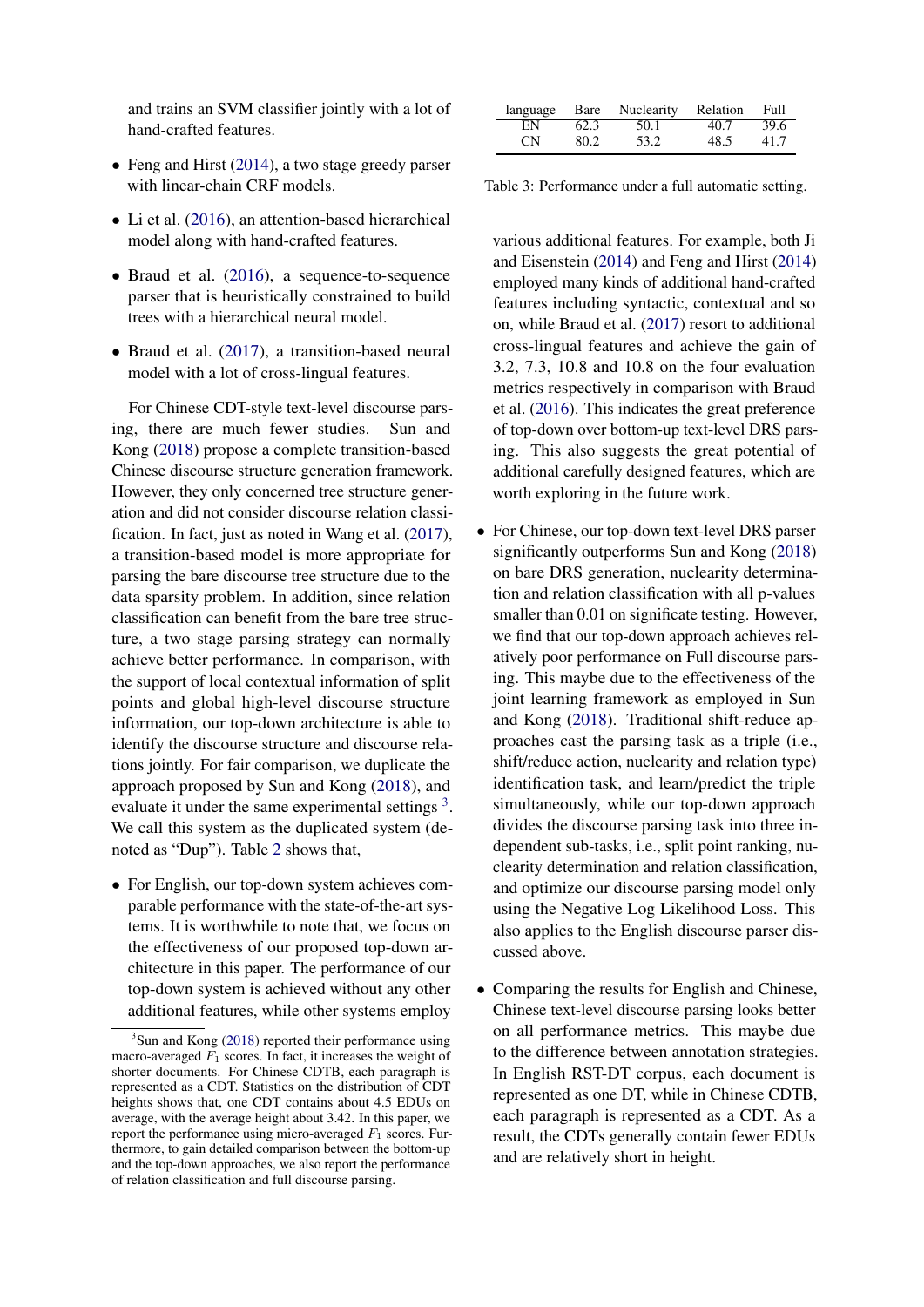and trains an SVM classifier jointly with a lot of hand-crafted features.

- Feng and Hirst [\(2014\)](#page-8-7), a two stage greedy parser with linear-chain CRF models.
- Li et al. [\(2016\)](#page-8-10), an attention-based hierarchical model along with hand-crafted features.
- Braud et al. [\(2016\)](#page-8-17), a sequence-to-sequence parser that is heuristically constrained to build trees with a hierarchical neural model.
- Braud et al. [\(2017\)](#page-8-11), a transition-based neural model with a lot of cross-lingual features.

For Chinese CDT-style text-level discourse parsing, there are much fewer studies. Sun and Kong [\(2018\)](#page-9-7) propose a complete transition-based Chinese discourse structure generation framework. However, they only concerned tree structure generation and did not consider discourse relation classification. In fact, just as noted in Wang et al. [\(2017\)](#page-9-3), a transition-based model is more appropriate for parsing the bare discourse tree structure due to the data sparsity problem. In addition, since relation classification can benefit from the bare tree structure, a two stage parsing strategy can normally achieve better performance. In comparison, with the support of local contextual information of split points and global high-level discourse structure information, our top-down architecture is able to identify the discourse structure and discourse relations jointly. For fair comparison, we duplicate the approach proposed by Sun and Kong [\(2018\)](#page-9-7), and evaluate it under the same experimental settings  $3$ . We call this system as the duplicated system (denoted as "Dup"). Table [2](#page-5-2) shows that,

• For English, our top-down system achieves comparable performance with the state-of-the-art systems. It is worthwhile to note that, we focus on the effectiveness of our proposed top-down architecture in this paper. The performance of our top-down system is achieved without any other additional features, while other systems employ

<span id="page-6-1"></span>

| language |      | Bare Nuclearity | Relation | Full |
|----------|------|-----------------|----------|------|
| ΕN       | 62.3 | 50.1            | 40.7     | 39.6 |
| CN.      | 80.2 | 53.2            | 48.5     | 41.7 |

Table 3: Performance under a full automatic setting.

various additional features. For example, both Ji and Eisenstein [\(2014\)](#page-8-8) and Feng and Hirst [\(2014\)](#page-8-7) employed many kinds of additional hand-crafted features including syntactic, contextual and so on, while Braud et al. [\(2017\)](#page-8-11) resort to additional cross-lingual features and achieve the gain of 3.2, 7.3, 10.8 and 10.8 on the four evaluation metrics respectively in comparison with Braud et al. [\(2016\)](#page-8-17). This indicates the great preference of top-down over bottom-up text-level DRS parsing. This also suggests the great potential of additional carefully designed features, which are worth exploring in the future work.

- For Chinese, our top-down text-level DRS parser significantly outperforms Sun and Kong [\(2018\)](#page-9-7) on bare DRS generation, nuclearity determination and relation classification with all p-values smaller than 0.01 on significate testing. However, we find that our top-down approach achieves relatively poor performance on Full discourse parsing. This maybe due to the effectiveness of the joint learning framework as employed in Sun and Kong [\(2018\)](#page-9-7). Traditional shift-reduce approaches cast the parsing task as a triple (i.e., shift/reduce action, nuclearity and relation type) identification task, and learn/predict the triple simultaneously, while our top-down approach divides the discourse parsing task into three independent sub-tasks, i.e., split point ranking, nuclearity determination and relation classification, and optimize our discourse parsing model only using the Negative Log Likelihood Loss. This also applies to the English discourse parser discussed above.
- Comparing the results for English and Chinese, Chinese text-level discourse parsing looks better on all performance metrics. This maybe due to the difference between annotation strategies. In English RST-DT corpus, each document is represented as one DT, while in Chinese CDTB, each paragraph is represented as a CDT. As a result, the CDTs generally contain fewer EDUs and are relatively short in height.

<span id="page-6-0"></span><sup>&</sup>lt;sup>3</sup>Sun and Kong [\(2018\)](#page-9-7) reported their performance using macro-averaged  $F_1$  scores. In fact, it increases the weight of shorter documents. For Chinese CDTB, each paragraph is represented as a CDT. Statistics on the distribution of CDT heights shows that, one CDT contains about 4.5 EDUs on average, with the average height about 3.42. In this paper, we report the performance using micro-averaged  $F_1$  scores. Furthermore, to gain detailed comparison between the bottom-up and the top-down approaches, we also report the performance of relation classification and full discourse parsing.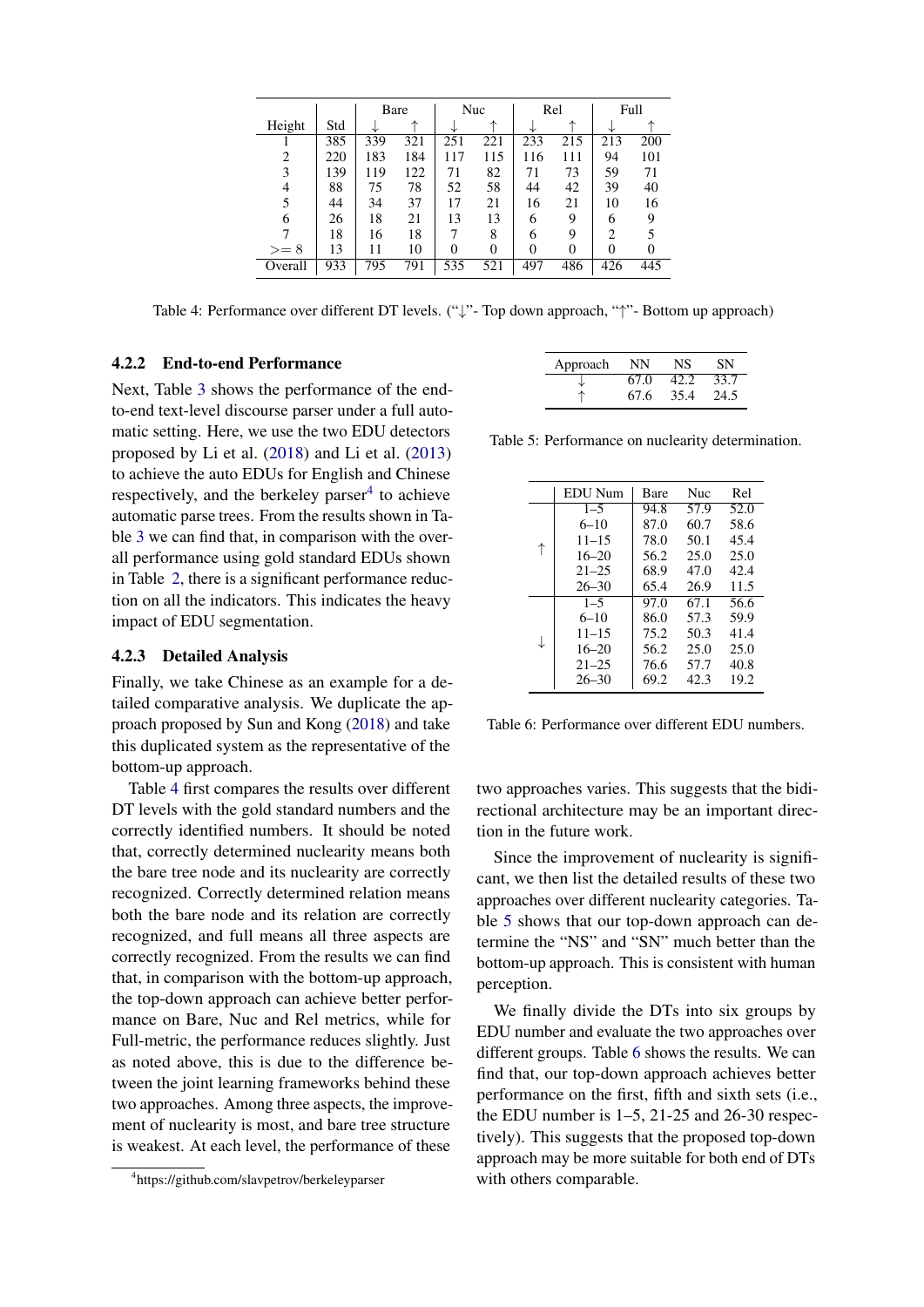<span id="page-7-1"></span>

|         |     |     | Bare |     | Nuc |          | Rel      |     | Full |
|---------|-----|-----|------|-----|-----|----------|----------|-----|------|
| Height  | Std |     |      |     | ᄉ   |          |          |     |      |
|         | 385 | 339 | 321  | 251 | 221 | 233      | 215      | 213 | 200  |
| 2       | 220 | 183 | 184  | 117 | 115 | 116      | 111      | 94  | 101  |
| 3       | 139 | 119 | 122  | 71  | 82  | 71       | 73       | 59  | 71   |
| 4       | 88  | 75  | 78   | 52  | 58  | 44       | 42       | 39  | 40   |
| 5       | 44  | 34  | 37   | 17  | 21  | 16       | 21       | 10  | 16   |
| 6       | 26  | 18  | 21   | 13  | 13  | 6        | 9        | 6   | 9    |
|         | 18  | 16  | 18   | 7   | 8   | 6        | 9        | 2   |      |
| $>= 8$  | 13  | 11  | 10   | 0   |     | $\theta$ | $\theta$ | 0   | 0    |
| Overall | 933 | 795 | 791  | 535 | 521 | 497      | 486      | 426 | 445  |

Table 4: Performance over different DT levels. ("↓"- Top down approach, "↑"- Bottom up approach)

# 4.2.2 End-to-end Performance

Next, Table [3](#page-6-1) shows the performance of the endto-end text-level discourse parser under a full automatic setting. Here, we use the two EDU detectors proposed by Li et al. [\(2018\)](#page-8-18) and Li et al. [\(2013\)](#page-9-12) to achieve the auto EDUs for English and Chinese respectively, and the berkeley parser $4$  to achieve automatic parse trees. From the results shown in Table [3](#page-6-1) we can find that, in comparison with the overall performance using gold standard EDUs shown in Table [2,](#page-5-2) there is a significant performance reduction on all the indicators. This indicates the heavy impact of EDU segmentation.

## 4.2.3 Detailed Analysis

Finally, we take Chinese as an example for a detailed comparative analysis. We duplicate the approach proposed by Sun and Kong [\(2018\)](#page-9-7) and take this duplicated system as the representative of the bottom-up approach.

Table [4](#page-7-1) first compares the results over different DT levels with the gold standard numbers and the correctly identified numbers. It should be noted that, correctly determined nuclearity means both the bare tree node and its nuclearity are correctly recognized. Correctly determined relation means both the bare node and its relation are correctly recognized, and full means all three aspects are correctly recognized. From the results we can find that, in comparison with the bottom-up approach, the top-down approach can achieve better performance on Bare, Nuc and Rel metrics, while for Full-metric, the performance reduces slightly. Just as noted above, this is due to the difference between the joint learning frameworks behind these two approaches. Among three aspects, the improvement of nuclearity is most, and bare tree structure is weakest. At each level, the performance of these

<span id="page-7-2"></span>

| Approach | NΝ   | NS   | SN   |
|----------|------|------|------|
|          | 67.0 | 42.2 | 33.7 |
|          | 67.6 | 35.4 | 24.5 |

<span id="page-7-3"></span>Table 5: Performance on nuclearity determination.

|   | <b>EDU</b> Num | Bare | <b>Nuc</b> | Rel  |
|---|----------------|------|------------|------|
|   | $1 - 5$        | 94.8 | 57.9       | 52.0 |
|   | $6 - 10$       | 87.0 | 60.7       | 58.6 |
|   | $11 - 15$      | 78.0 | 50.1       | 45.4 |
| ↑ | $16 - 20$      | 56.2 | 25.0       | 25.0 |
|   | $21 - 25$      | 68.9 | 47.0       | 42.4 |
|   | $26 - 30$      | 65.4 | 26.9       | 11.5 |
| ↓ | $1 - 5$        | 97.0 | 67.1       | 56.6 |
|   | $6 - 10$       | 86.0 | 57.3       | 59.9 |
|   | $11 - 15$      | 75.2 | 50.3       | 41.4 |
|   | $16 - 20$      | 56.2 | 25.0       | 25.0 |
|   | $21 - 25$      | 76.6 | 57.7       | 40.8 |
|   | $26 - 30$      | 69.2 | 42.3       | 19.2 |

Table 6: Performance over different EDU numbers.

two approaches varies. This suggests that the bidirectional architecture may be an important direction in the future work.

Since the improvement of nuclearity is significant, we then list the detailed results of these two approaches over different nuclearity categories. Table [5](#page-7-2) shows that our top-down approach can determine the "NS" and "SN" much better than the bottom-up approach. This is consistent with human perception.

We finally divide the DTs into six groups by EDU number and evaluate the two approaches over different groups. Table [6](#page-7-3) shows the results. We can find that, our top-down approach achieves better performance on the first, fifth and sixth sets (i.e., the EDU number is  $1-5$ ,  $21-25$  and  $26-30$  respectively). This suggests that the proposed top-down approach may be more suitable for both end of DTs with others comparable.

<span id="page-7-0"></span><sup>4</sup> https://github.com/slavpetrov/berkeleyparser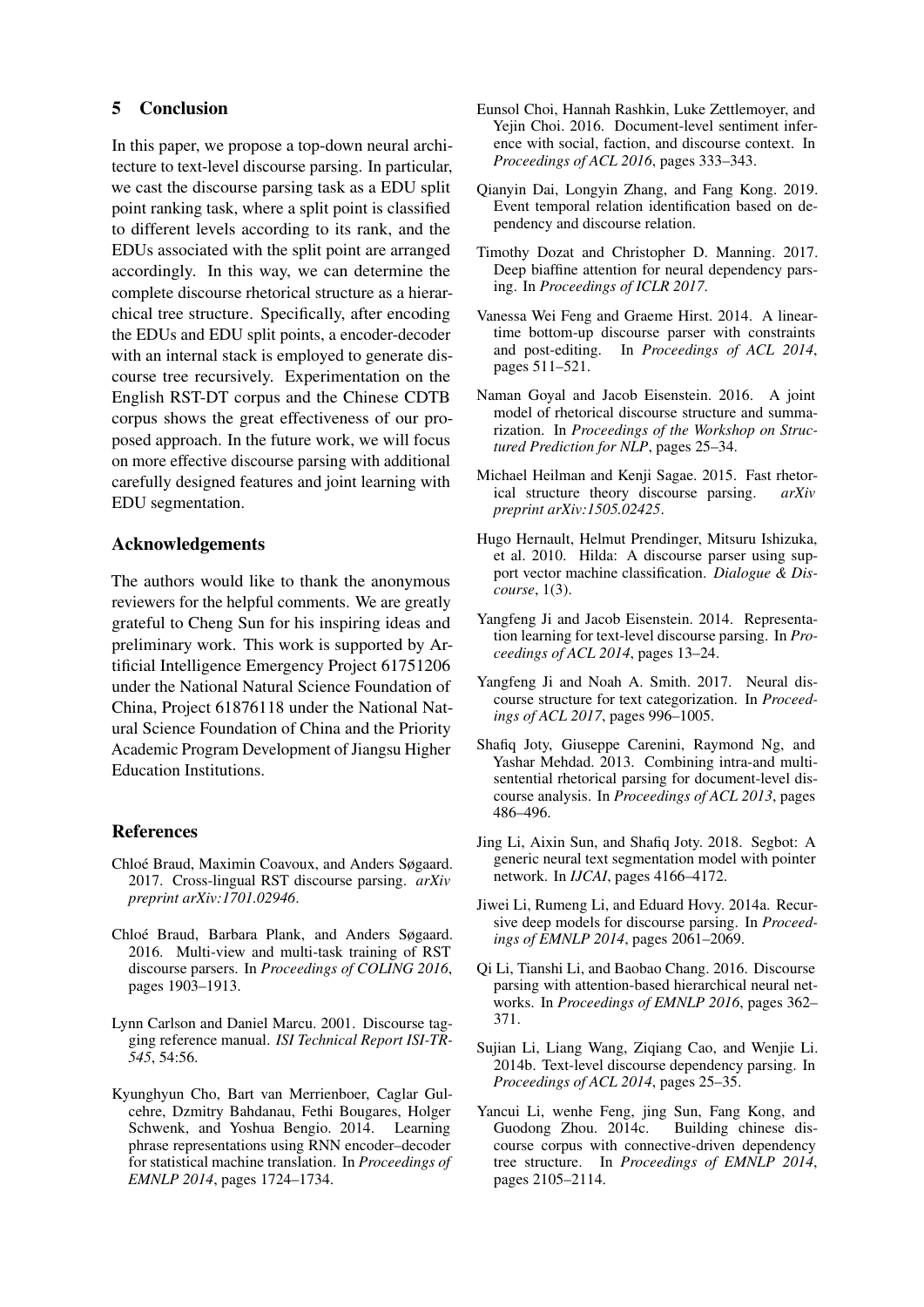# 5 Conclusion

In this paper, we propose a top-down neural architecture to text-level discourse parsing. In particular, we cast the discourse parsing task as a EDU split point ranking task, where a split point is classified to different levels according to its rank, and the EDUs associated with the split point are arranged accordingly. In this way, we can determine the complete discourse rhetorical structure as a hierarchical tree structure. Specifically, after encoding the EDUs and EDU split points, a encoder-decoder with an internal stack is employed to generate discourse tree recursively. Experimentation on the English RST-DT corpus and the Chinese CDTB corpus shows the great effectiveness of our proposed approach. In the future work, we will focus on more effective discourse parsing with additional carefully designed features and joint learning with EDU segmentation.

## Acknowledgements

The authors would like to thank the anonymous reviewers for the helpful comments. We are greatly grateful to Cheng Sun for his inspiring ideas and preliminary work. This work is supported by Artificial Intelligence Emergency Project 61751206 under the National Natural Science Foundation of China, Project 61876118 under the National Natural Science Foundation of China and the Priority Academic Program Development of Jiangsu Higher Education Institutions.

## References

- <span id="page-8-11"></span>Chloé Braud, Maximin Coavoux, and Anders Søgaard. 2017. Cross-lingual RST discourse parsing. *arXiv preprint arXiv:1701.02946*.
- <span id="page-8-17"></span>Chloé Braud, Barbara Plank, and Anders Søgaard. 2016. Multi-view and multi-task training of RST discourse parsers. In *Proceedings of COLING 2016*, pages 1903–1913.
- <span id="page-8-16"></span>Lynn Carlson and Daniel Marcu. 2001. Discourse tagging reference manual. *ISI Technical Report ISI-TR-545*, 54:56.
- <span id="page-8-15"></span>Kyunghyun Cho, Bart van Merrienboer, Caglar Gulcehre, Dzmitry Bahdanau, Fethi Bougares, Holger Schwenk, and Yoshua Bengio. 2014. Learning phrase representations using RNN encoder–decoder for statistical machine translation. In *Proceedings of EMNLP 2014*, pages 1724–1734.
- <span id="page-8-1"></span>Eunsol Choi, Hannah Rashkin, Luke Zettlemoyer, and Yejin Choi. 2016. Document-level sentiment inference with social, faction, and discourse context. In *Proceedings of ACL 2016*, pages 333–343.
- <span id="page-8-3"></span>Qianyin Dai, Longyin Zhang, and Fang Kong. 2019. Event temporal relation identification based on dependency and discourse relation.
- <span id="page-8-12"></span>Timothy Dozat and Christopher D. Manning. 2017. Deep biaffine attention for neural dependency parsing. In *Proceedings of ICLR 2017*.
- <span id="page-8-7"></span>Vanessa Wei Feng and Graeme Hirst. 2014. A lineartime bottom-up discourse parser with constraints and post-editing. In *Proceedings of ACL 2014*, pages 511–521.
- <span id="page-8-0"></span>Naman Goyal and Jacob Eisenstein. 2016. A joint model of rhetorical discourse structure and summarization. In *Proceedings of the Workshop on Structured Prediction for NLP*, pages 25–34.
- <span id="page-8-9"></span>Michael Heilman and Kenji Sagae. 2015. Fast rhetorical structure theory discourse parsing. *arXiv preprint arXiv:1505.02425*.
- <span id="page-8-5"></span>Hugo Hernault, Helmut Prendinger, Mitsuru Ishizuka, et al. 2010. Hilda: A discourse parser using support vector machine classification. *Dialogue & Discourse*, 1(3).
- <span id="page-8-8"></span>Yangfeng Ji and Jacob Eisenstein. 2014. Representation learning for text-level discourse parsing. In *Proceedings of ACL 2014*, pages 13–24.
- <span id="page-8-2"></span>Yangfeng Ji and Noah A. Smith. 2017. Neural discourse structure for text categorization. In *Proceedings of ACL 2017*, pages 996–1005.
- <span id="page-8-6"></span>Shafiq Joty, Giuseppe Carenini, Raymond Ng, and Yashar Mehdad. 2013. Combining intra-and multisentential rhetorical parsing for document-level discourse analysis. In *Proceedings of ACL 2013*, pages 486–496.
- <span id="page-8-18"></span>Jing Li, Aixin Sun, and Shafiq Joty. 2018. Segbot: A generic neural text segmentation model with pointer network. In *IJCAI*, pages 4166–4172.
- <span id="page-8-13"></span>Jiwei Li, Rumeng Li, and Eduard Hovy. 2014a. Recursive deep models for discourse parsing. In *Proceedings of EMNLP 2014*, pages 2061–2069.
- <span id="page-8-10"></span>Qi Li, Tianshi Li, and Baobao Chang. 2016. Discourse parsing with attention-based hierarchical neural networks. In *Proceedings of EMNLP 2016*, pages 362– 371.
- <span id="page-8-14"></span>Sujian Li, Liang Wang, Ziqiang Cao, and Wenjie Li. 2014b. Text-level discourse dependency parsing. In *Proceedings of ACL 2014*, pages 25–35.
- <span id="page-8-4"></span>Yancui Li, wenhe Feng, jing Sun, Fang Kong, and Guodong Zhou. 2014c. Building chinese discourse corpus with connective-driven dependency tree structure. In *Proceedings of EMNLP 2014*, pages 2105–2114.